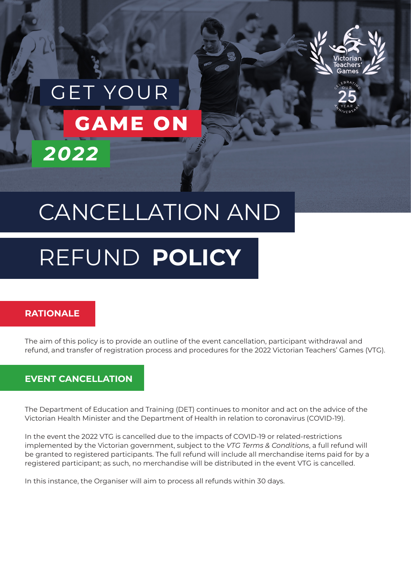

# **GET YOU GAME ON** 2022

## CANCELLATION AND

## REFUND **POLICY**

## **RATIONALE**

The aim of this policy is to provide an outline of the event cancellation, participant withdrawal and refund, and transfer of registration process and procedures for the 2022 Victorian Teachers' Games (VTG).

## **EVENT CANCELLATION**

The Department of Education and Training (DET) continues to monitor and act on the advice of the Victorian Health Minister and the Department of Health in relation to coronavirus (COVID-19).

In the event the 2022 VTG is cancelled due to the impacts of COVID-19 or related-restrictions implemented by the Victorian government, subject to the *VTG Terms & Conditions*, a full refund will be granted to registered participants. The full refund will include all merchandise items paid for by a registered participant; as such, no merchandise will be distributed in the event VTG is cancelled.

In this instance, the Organiser will aim to process all refunds within 30 days.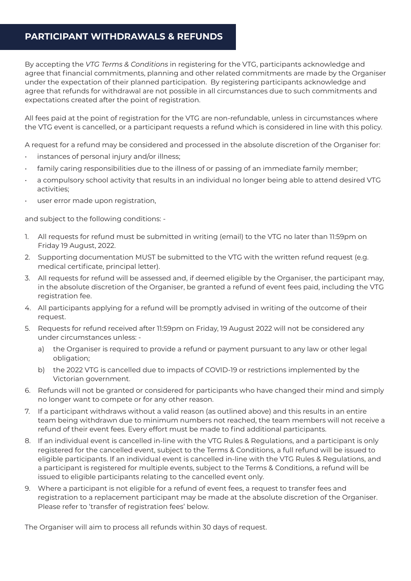## **PARTICIPANT WITHDRAWALS & REFUNDS**

By accepting the *VTG Terms & Conditions* in registering for the VTG, participants acknowledge and agree that financial commitments, planning and other related commitments are made by the Organiser under the expectation of their planned participation. By registering participants acknowledge and agree that refunds for withdrawal are not possible in all circumstances due to such commitments and expectations created after the point of registration.

All fees paid at the point of registration for the VTG are non-refundable, unless in circumstances where the VTG event is cancelled, or a participant requests a refund which is considered in line with this policy.

A request for a refund may be considered and processed in the absolute discretion of the Organiser for:

- instances of personal injury and/or illness;
- family caring responsibilities due to the illness of or passing of an immediate family member;
- a compulsory school activity that results in an individual no longer being able to attend desired VTG activities;
- user error made upon registration,

and subject to the following conditions: -

- 1. All requests for refund must be submitted in writing (email) to the VTG no later than 11:59pm on Friday 19 August, 2022.
- 2. Supporting documentation MUST be submitted to the VTG with the written refund request (e.g. medical certificate, principal letter).
- 3. All requests for refund will be assessed and, if deemed eligible by the Organiser, the participant may, in the absolute discretion of the Organiser, be granted a refund of event fees paid, including the VTG registration fee.
- 4. All participants applying for a refund will be promptly advised in writing of the outcome of their request.
- 5. Requests for refund received after 11:59pm on Friday, 19 August 2022 will not be considered any under circumstances unless:
	- a) the Organiser is required to provide a refund or payment pursuant to any law or other legal obligation;
	- b) the 2022 VTG is cancelled due to impacts of COVID-19 or restrictions implemented by the Victorian government.
- 6. Refunds will not be granted or considered for participants who have changed their mind and simply no longer want to compete or for any other reason.
- 7. If a participant withdraws without a valid reason (as outlined above) and this results in an entire team being withdrawn due to minimum numbers not reached, the team members will not receive a refund of their event fees. Every effort must be made to find additional participants.
- 8. If an individual event is cancelled in-line with the VTG Rules & Regulations, and a participant is only registered for the cancelled event, subject to the Terms & Conditions, a full refund will be issued to eligible participants. If an individual event is cancelled in-line with the VTG Rules & Regulations, and a participant is registered for multiple events, subject to the Terms & Conditions, a refund will be issued to eligible participants relating to the cancelled event only.
- 9. Where a participant is not eligible for a refund of event fees, a request to transfer fees and registration to a replacement participant may be made at the absolute discretion of the Organiser. Please refer to 'transfer of registration fees' below.

The Organiser will aim to process all refunds within 30 days of request.